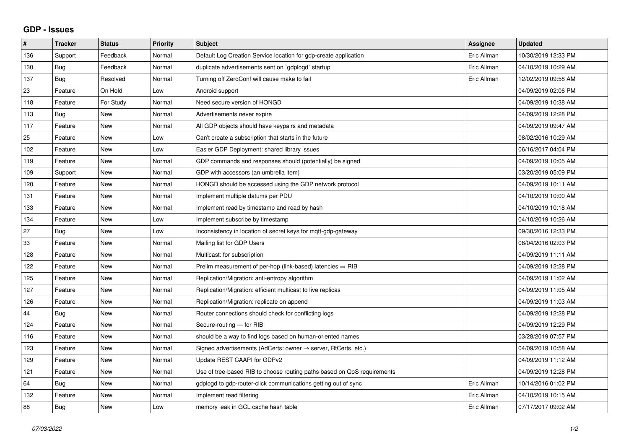## **GDP - Issues**

| #   | <b>Tracker</b> | <b>Status</b> | Priority | <b>Subject</b>                                                             | <b>Assignee</b> | <b>Updated</b>      |
|-----|----------------|---------------|----------|----------------------------------------------------------------------------|-----------------|---------------------|
| 136 | Support        | Feedback      | Normal   | Default Log Creation Service location for gdp-create application           | Eric Allman     | 10/30/2019 12:33 PM |
| 130 | Bug            | Feedback      | Normal   | duplicate advertisements sent on `gdplogd` startup                         | Eric Allman     | 04/10/2019 10:29 AM |
| 137 | <b>Bug</b>     | Resolved      | Normal   | Turning off ZeroConf will cause make to fail                               | Eric Allman     | 12/02/2019 09:58 AM |
| 23  | Feature        | On Hold       | Low      | Android support                                                            |                 | 04/09/2019 02:06 PM |
| 118 | Feature        | For Study     | Normal   | Need secure version of HONGD                                               |                 | 04/09/2019 10:38 AM |
| 113 | Bug            | <b>New</b>    | Normal   | Advertisements never expire                                                |                 | 04/09/2019 12:28 PM |
| 117 | Feature        | <b>New</b>    | Normal   | All GDP objects should have keypairs and metadata                          |                 | 04/09/2019 09:47 AM |
| 25  | Feature        | <b>New</b>    | Low      | Can't create a subscription that starts in the future                      |                 | 08/02/2016 10:29 AM |
| 102 | Feature        | <b>New</b>    | Low      | Easier GDP Deployment: shared library issues                               |                 | 06/16/2017 04:04 PM |
| 119 | Feature        | <b>New</b>    | Normal   | GDP commands and responses should (potentially) be signed                  |                 | 04/09/2019 10:05 AM |
| 109 | Support        | <b>New</b>    | Normal   | GDP with accessors (an umbrella item)                                      |                 | 03/20/2019 05:09 PM |
| 120 | Feature        | New           | Normal   | HONGD should be accessed using the GDP network protocol                    |                 | 04/09/2019 10:11 AM |
| 131 | Feature        | <b>New</b>    | Normal   | Implement multiple datums per PDU                                          |                 | 04/10/2019 10:00 AM |
| 133 | Feature        | <b>New</b>    | Normal   | Implement read by timestamp and read by hash                               |                 | 04/10/2019 10:18 AM |
| 134 | Feature        | New           | Low      | Implement subscribe by timestamp                                           |                 | 04/10/2019 10:26 AM |
| 27  | Bug            | <b>New</b>    | Low      | Inconsistency in location of secret keys for mqtt-gdp-gateway              |                 | 09/30/2016 12:33 PM |
| 33  | Feature        | <b>New</b>    | Normal   | Mailing list for GDP Users                                                 |                 | 08/04/2016 02:03 PM |
| 128 | Feature        | <b>New</b>    | Normal   | Multicast: for subscription                                                |                 | 04/09/2019 11:11 AM |
| 122 | Feature        | <b>New</b>    | Normal   | Prelim measurement of per-hop (link-based) latencies $\Rightarrow$ RIB     |                 | 04/09/2019 12:28 PM |
| 125 | Feature        | <b>New</b>    | Normal   | Replication/Migration: anti-entropy algorithm                              |                 | 04/09/2019 11:02 AM |
| 127 | Feature        | <b>New</b>    | Normal   | Replication/Migration: efficient multicast to live replicas                |                 | 04/09/2019 11:05 AM |
| 126 | Feature        | <b>New</b>    | Normal   | Replication/Migration: replicate on append                                 |                 | 04/09/2019 11:03 AM |
| 44  | <b>Bug</b>     | New           | Normal   | Router connections should check for conflicting logs                       |                 | 04/09/2019 12:28 PM |
| 124 | Feature        | <b>New</b>    | Normal   | Secure-routing — for RIB                                                   |                 | 04/09/2019 12:29 PM |
| 116 | Feature        | <b>New</b>    | Normal   | should be a way to find logs based on human-oriented names                 |                 | 03/28/2019 07:57 PM |
| 123 | Feature        | <b>New</b>    | Normal   | Signed advertisements (AdCerts: owner $\rightarrow$ server, RtCerts, etc.) |                 | 04/09/2019 10:58 AM |
| 129 | Feature        | <b>New</b>    | Normal   | Update REST CAAPI for GDPv2                                                |                 | 04/09/2019 11:12 AM |
| 121 | Feature        | New           | Normal   | Use of tree-based RIB to choose routing paths based on QoS requirements    |                 | 04/09/2019 12:28 PM |
| 64  | Bug            | <b>New</b>    | Normal   | gdplogd to gdp-router-click communications getting out of sync             | Eric Allman     | 10/14/2016 01:02 PM |
| 132 | Feature        | <b>New</b>    | Normal   | Implement read filtering                                                   | Eric Allman     | 04/10/2019 10:15 AM |
| 88  | <b>Bug</b>     | New           | Low      | memory leak in GCL cache hash table                                        | Eric Allman     | 07/17/2017 09:02 AM |